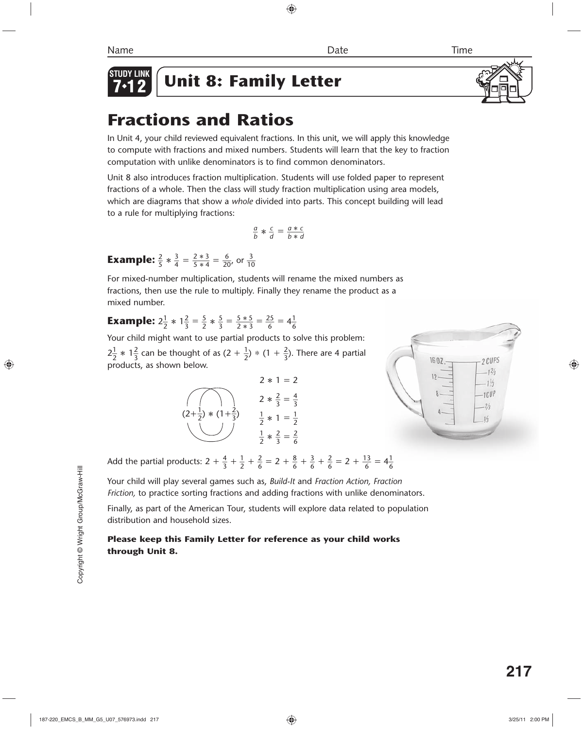

*Unit 8: Family Letter* 

# **Fractions and Ratios**

In Unit 4, your child reviewed equivalent fractions. In this unit, we will apply this knowledge to compute with fractions and mixed numbers. Students will learn that the key to fraction computation with unlike denominators is to find common denominators.

Unit 8 also introduces fraction multiplication. Students will use folded paper to represent fractions of a whole. Then the class will study fraction multiplication using area models, which are diagrams that show a *whole* divided into parts. This concept building will lead to a rule for multiplying fractions:

$$
\frac{a}{b} * \frac{c}{d} = \frac{a * c}{b * d}
$$

**Example:**  $\frac{2}{5} * \frac{3}{4}$  $rac{3}{4} = \frac{2*3}{5*4} = \frac{6}{20}$ , or  $rac{3}{10}$ 

For mixed-number multiplication, students will rename the mixed numbers as fractions, then use the rule to multiply. Finally they rename the product as a mixed number.

#### **Example:**  $2\frac{1}{2} * 1\frac{2}{3} = \frac{5}{2} * \frac{5}{3}$  $\frac{5}{3} = \frac{5 * 5}{2 * 3} = \frac{25}{6} = 4\frac{1}{6}$ 6

Your child might want to use partial products to solve this problem:  $2\frac{1}{2} * 1\frac{2}{3}$  can be thought of as  $(2 + \frac{1}{2}) * (1 + \frac{2}{3})$ . There are 4 partial products, as shown below.





Add the partial products:  $2 + \frac{4}{3} + \frac{1}{2} + \frac{2}{6} = 2 + \frac{8}{6} + \frac{3}{6} + \frac{2}{6} = 2 + \frac{13}{6} = 4\frac{1}{6}$ 6

Your child will play several games such as, *Build-It* and *Fraction Action, Fraction Friction,* to practice sorting fractions and adding fractions with unlike denominators.

Finally, as part of the American Tour, students will explore data related to population distribution and household sizes.

#### **Please keep this Family Letter for reference as your child works through Unit 8.**

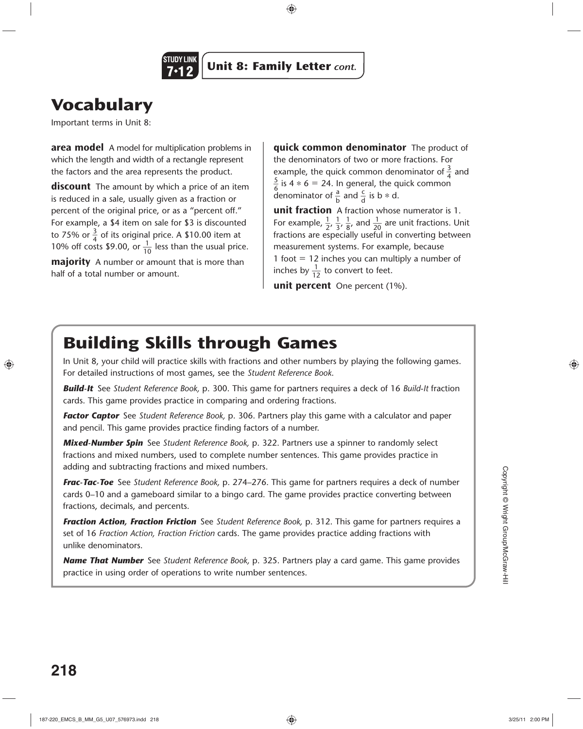

# **Vocabulary**

Important terms in Unit 8:

**area model** A model for multiplication problems in which the length and width of a rectangle represent the factors and the area represents the product.

**discount** The amount by which a price of an item is reduced in a sale, usually given as a fraction or percent of the original price, or as a "percent off." For example, a \$4 item on sale for \$3 is discounted to 75% or  $\frac{3}{4}$  of its original price. A \$10.00 item at<br>10% off costs \$9.00, or  $\frac{1}{10}$  less than the usual price.

**majority** A number or amount that is more than half of a total number or amount.

**quick common denominator** The product of the denominators of two or more fractions. For example, the quick common denominator of  $\frac{3}{4}$  and  $\frac{5}{6}$  is 4  $\ast$  6 = 24. In general, the quick common denominator of  $\frac{a}{b}$  and  $\frac{c}{d}$  is b  $*$  d.

**unit fraction** A fraction whose numerator is 1. For example,  $\frac{1}{2}$ ,  $\frac{1}{3}$ ,  $\frac{1}{8}$ rraction whose numerator is 1.<br> $\frac{1}{8}$ , and  $\frac{1}{20}$  are unit fractions. Unit fractions are especially useful in converting between measurement systems. For example, because 1 foot  $= 12$  inches you can multiply a number of  $\frac{1}{10}$  foot = 12 inches you can mu<br>inches by  $\frac{1}{12}$  to convert to feet.

**unit percent** One percent (1%).

# **Building Skills through Games**

In Unit 8, your child will practice skills with fractions and other numbers by playing the following games. For detailed instructions of most games, see the *Student Reference Book*.

*Build-It* See *Student Reference Book,* p. 300. This game for partners requires a deck of 16 *Build-It* fraction cards. This game provides practice in comparing and ordering fractions.

*Factor Captor* See *Student Reference Book,* p. 306. Partners play this game with a calculator and paper and pencil. This game provides practice finding factors of a number.

*Mixed-Number Spin* See *Student Reference Book,* p. 322. Partners use a spinner to randomly select fractions and mixed numbers, used to complete number sentences. This game provides practice in adding and subtracting fractions and mixed numbers.

*Frac-Tac-Toe* See *Student Reference Book,* p. 274–276. This game for partners requires a deck of number cards 0–10 and a gameboard similar to a bingo card. The game provides practice converting between fractions, decimals, and percents.

*Fraction Action, Fraction Friction* See *Student Reference Book,* p. 312. This game for partners requires a set of 16 *Fraction Action, Fraction Friction* cards. The game provides practice adding fractions with unlike denominators.

*Name That Number* See *Student Reference Book,* p. 325. Partners play a card game. This game provides practice in using order of operations to write number sentences.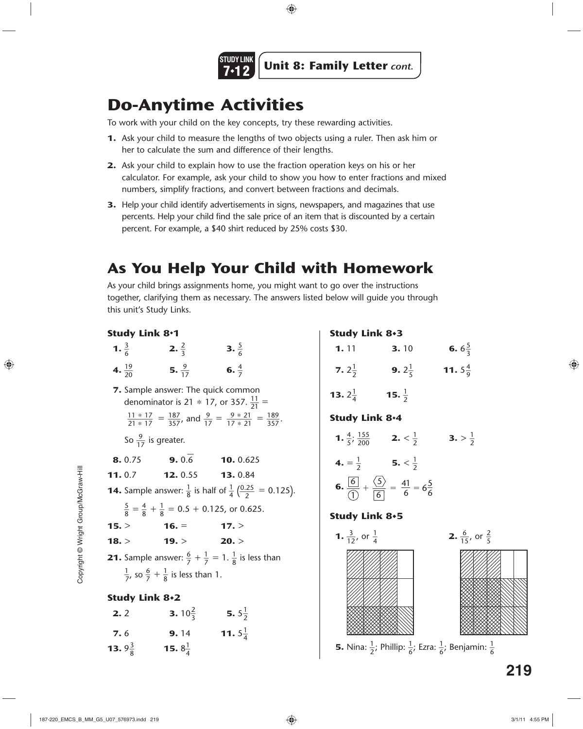

## **Do-Anytime Activities**

To work with your child on the key concepts, try these rewarding activities.

- **1.** Ask your child to measure the lengths of two objects using a ruler. Then ask him or her to calculate the sum and difference of their lengths.
- **2.** Ask your child to explain how to use the fraction operation keys on his or her calculator. For example, ask your child to show you how to enter fractions and mixed numbers, simplify fractions, and convert between fractions and decimals.
- **3.** Help your child identify advertisements in signs, newspapers, and magazines that use percents. Help your child find the sale price of an item that is discounted by a certain percent. For example, a \$40 shirt reduced by 25% costs \$30.

## **As You Help Your Child with Homework**

As your child brings assignments home, you might want to go over the instructions together, clarifying them as necessary. The answers listed below will guide you through this unit's Study Links.

| <b>Study Link 8.1</b>                                                                         |                           |                                                                                                               |  |  |
|-----------------------------------------------------------------------------------------------|---------------------------|---------------------------------------------------------------------------------------------------------------|--|--|
| 1. $\frac{3}{6}$                                                                              | <b>2.</b> $\frac{2}{3}$   | 3. $\frac{5}{6}$                                                                                              |  |  |
| 4. $\frac{19}{20}$                                                                            | 5. $\frac{9}{17}$         | 6. $\frac{4}{7}$                                                                                              |  |  |
| 7. Sample answer: The quick common<br>denominator is 21 $*$ 17, or 357. $\frac{11}{21}$ =     |                           |                                                                                                               |  |  |
|                                                                                               |                           | $\frac{11 * 17}{21 * 17} = \frac{187}{357}$ , and $\frac{9}{17} = \frac{9 * 21}{17 * 21} = \frac{189}{357}$ . |  |  |
| So $\frac{9}{17}$ is greater.                                                                 |                           |                                                                                                               |  |  |
| 8.0.75                                                                                        | <b>9.</b> 0.6             | 10.0.625                                                                                                      |  |  |
| 11.0.7                                                                                        |                           | <b>12.</b> 0.55 <b>13.</b> 0.84                                                                               |  |  |
| <b>14.</b> Sample answer: $\frac{1}{8}$ is half of $\frac{1}{4}$ ( $\frac{0.25}{2}$ = 0.125). |                           |                                                                                                               |  |  |
| $\frac{5}{8} = \frac{4}{8} + \frac{1}{8} = 0.5 + 0.125$ , or 0.625.                           |                           |                                                                                                               |  |  |
| 15. >                                                                                         | $16. =$                   | 17. >                                                                                                         |  |  |
| 18. >                                                                                         | 19. >                     | 20. >                                                                                                         |  |  |
| <b>21.</b> Sample answer: $\frac{6}{7} + \frac{1}{7} = 1$ . $\frac{1}{8}$ is less than        |                           |                                                                                                               |  |  |
| $\frac{1}{7}$ , so $\frac{6}{7} + \frac{1}{8}$ is less than 1.                                |                           |                                                                                                               |  |  |
| <b>Study Link 8+2</b>                                                                         |                           |                                                                                                               |  |  |
| 2.2                                                                                           | <b>3.</b> $10\frac{2}{3}$ | 5. $5\frac{1}{2}$                                                                                             |  |  |

**7.** 6 **9.** 14 **11.**  $5\frac{1}{4}$ 

4

**13.**  $9\frac{3}{8}$  **15.**  $8\frac{1}{4}$ 

4

#### **Study Link 8**✸**3**

| 1.11                                 | 3.10                                                                                                       | 6. $6\frac{5}{3}$  |
|--------------------------------------|------------------------------------------------------------------------------------------------------------|--------------------|
| 7. $2\frac{1}{2}$                    | <b>9.</b> $2\frac{1}{5}$                                                                                   | 11. $5\frac{4}{9}$ |
| <b>13.</b> $2\frac{1}{4}$            | <b>15.</b> $\frac{1}{2}$                                                                                   |                    |
| Study Link 8.4                       |                                                                                                            |                    |
| 1. $\frac{4}{5}$ ; $\frac{155}{200}$ | <b>2.</b> $<\frac{1}{2}$                                                                                   | 3. > $\frac{1}{2}$ |
| 4. $=\frac{1}{2}$                    | 5. $<\frac{1}{2}$                                                                                          |                    |
|                                      | <b>6.</b> $\frac{6}{\sqrt{1}} + \frac{\langle 5 \rangle}{\langle 6 \rangle} = \frac{41}{6} = 6\frac{5}{6}$ |                    |

#### **Study Link 8**✸**5**